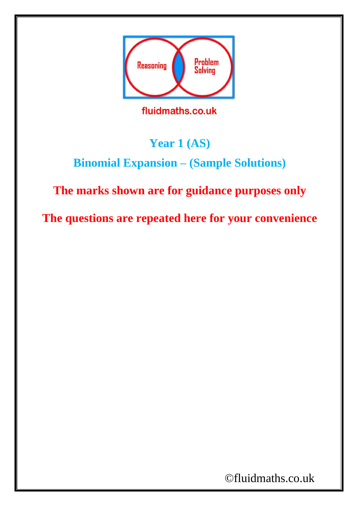

## **Year 1 (AS)**

## **Binomial Expansion – (Sample Solutions)**

## **The marks shown are for guidance purposes only**

**The questions are repeated here for your convenience**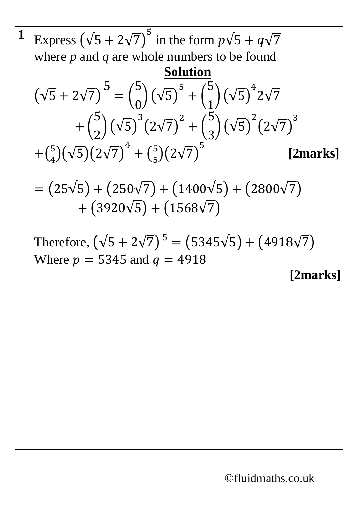$$
\frac{1}{\text{Express } (\sqrt{5} + 2\sqrt{7})^5 \text{ in the form } p\sqrt{5} + q\sqrt{7}}
$$
\nwhere *p* and *q* are whole numbers to be found  
\nSolution  
\n
$$
(\sqrt{5} + 2\sqrt{7})^5 = {5 \choose 0} (\sqrt{5})^5 + {5 \choose 1} (\sqrt{5})^4 2\sqrt{7} + {5 \choose 2} (\sqrt{5})^3 (2\sqrt{7})^2 + {5 \choose 3} (\sqrt{5})^2 (2\sqrt{7})^3 + {5 \choose 4} (\sqrt{5}) (2\sqrt{7})^4 + {5 \choose 5} (2\sqrt{7})^5 \qquad \text{[2marks]} + (3920\sqrt{5}) + (1400\sqrt{5}) + (2800\sqrt{7}) + (3920\sqrt{5}) + (1568\sqrt{7})
$$
\nTherefore,  $(\sqrt{5} + 2\sqrt{7})^5 = (5345\sqrt{5}) + (4918\sqrt{7})$   
\nWhere *p* = 5345 and *q* = 4918 [2marks]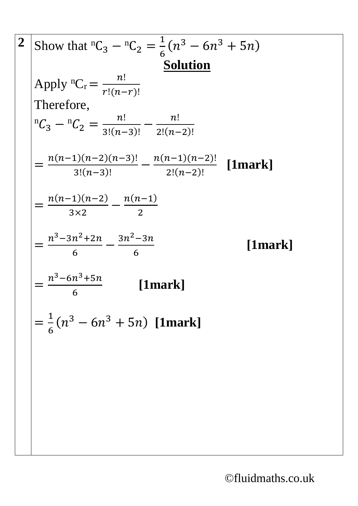$$
2 \quad \text{Show that } {}^{n}C_{3} - {}^{n}C_{2} = \frac{1}{6}(n^{3} - 6n^{3} + 5n)
$$
\n
$$
\text{Apply } {}^{n}C_{r} = \frac{n!}{r!(n-r)!}
$$
\nTherefore,  
\n
$$
{}^{n}C_{3} - {}^{n}C_{2} = \frac{n!}{3!(n-3)!} - \frac{n!}{2!(n-2)!}
$$
\n
$$
= \frac{n(n-1)(n-2)(n-3)!}{3!(n-3)!} - \frac{n(n-1)(n-2)!}{2!(n-2)!} \quad \text{[1mark]}
$$
\n
$$
= \frac{n(n-1)(n-2)}{3 \times 2} - \frac{n(n-1)}{2}
$$
\n
$$
= \frac{n^{3} - 3n^{2} + 2n}{6} - \frac{3n^{2} - 3n}{6}
$$
\n
$$
= \frac{n^{3} - 6n^{3} + 5n}{6} \quad \text{[1mark]}
$$
\n
$$
= \frac{1}{6}(n^{3} - 6n^{3} + 5n) \quad \text{[1mark]}
$$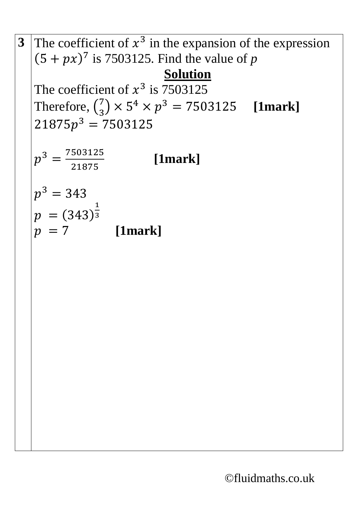**3** The coefficient of  $x^3$  in the expansion of the expression  $(5 + px)^7$  is 7503125. Find the value of *p* **Solution** The coefficient of  $x^3$  is 7503125 Therefore,  $\binom{7}{3}$  $\binom{7}{3}$  × 5<sup>4</sup> ×  $p^3$  = 7503125 **[1mark]**  $21875p<sup>3</sup> = 7503125$  $p^3 = \frac{7503125}{31975}$ 21875 **[1mark]**  $p^3 = 343$  $p = (343)$ 1 3  $p = 7$  [1mark]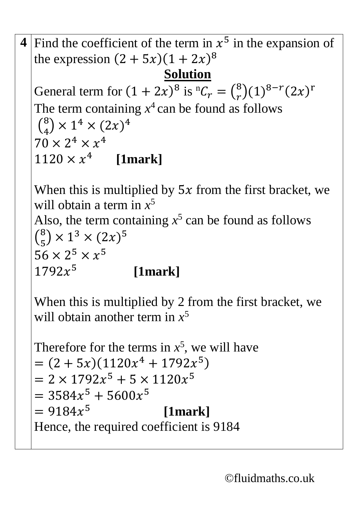```
4 Find the coefficient of the term in x^5 in the expansion of
the expression (2 + 5x)(1 + 2x)^8Solution
General term for (1 + 2x)^8 is {}^nC_r = \binom{8}{r}_{r}^{8})(1)^{8-r}(2x)^{r}The term containing x^4 can be found as follows
 \binom{8}{4}_{4}^{8}) × 1<sup>4</sup> × (2x)<sup>4</sup>
70 \times 2^4 \times x^41120 \times x^4 [1mark]
```
When this is multiplied by  $5x$  from the first bracket, we will obtain a term in *x* 5 Also, the term containing  $x^5$  can be found as follows  $\binom{8}{5}$  $\binom{8}{5}$  × 1<sup>3</sup> × (2x)<sup>5</sup>  $56 \times 2^5 \times x^5$  $1792x^5$ **[1mark]**

When this is multiplied by 2 from the first bracket, we will obtain another term in *x* 5

Therefore for the terms in  $x^5$ , we will have  $= (2 + 5x)(1120x<sup>4</sup> + 1792x<sup>5</sup>)$  $= 2 \times 1792x^{5} + 5 \times 1120x^{5}$  $= 3584x^{5} + 5600x^{5}$  $= 9184x^{5}$  **[1mark]** Hence, the required coefficient is 9184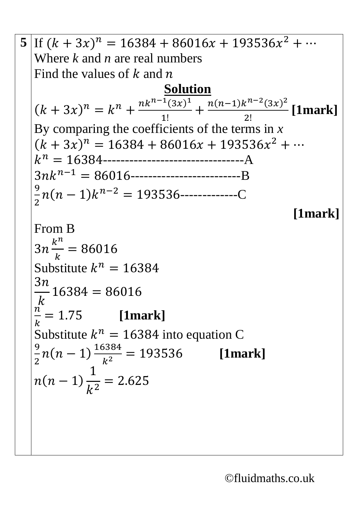5 If 
$$
(k + 3x)^n = 16384 + 86016x + 193536x^2 + \cdots
$$
  
\nWhere k and n are real numbers  
\nFind the values of k and n  
\n
$$
(k + 3x)^n = k^n + \frac{n k^{n-1} (3x)^1}{1!} + \frac{n(n-1)k^{n-2} (3x)^2}{2!} [\text{1mark}]
$$
\nBy comparing the coefficients of the terms in x  
\n $(k + 3x)^n = 16384 + 86016x + 193536x^2 + \cdots$   
\n $k^n = 16384$ ................. A  
\n $3nk^{n-1} = 86016$ ................. B  
\n $\frac{9}{2}n(n-1)k^{n-2} = 193536$ ................. C  
\n[1mark]  
\nFrom B  
\n $3n \frac{k^n}{k} = 86016$   
\nSubstitute  $k^n = 16384$   
\n $\frac{3n}{k}$  16384 = 86016  
\n $\frac{n}{k} = 1.75$  [1mark]  
\nSubstitute  $k^n = 16384$  into equation C  
\n $\frac{9}{2}n(n-1) \frac{16384}{k^2} = 193536$  [1mark]  
\n $n(n-1) \frac{1}{k^2} = 2.625$